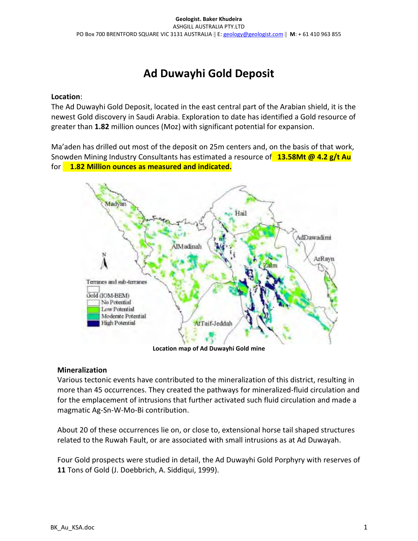# Ad Duwayhi Gold Deposit

### Location:

The Ad Duwayhi Gold Deposit, located in the east central part of the Arabian shield, it is the newest Gold discovery in Saudi Arabia. Exploration to date has identified a Gold resource of greater than 1.82 million ounces (Moz) with significant potential for expansion.

Ma'aden has drilled out most of the deposit on 25m centers and, on the basis of that work, Snowden Mining Industry Consultants has estimated a resource of **13.58Mt @ 4.2 g/t Au** for 1.82 Million ounces as measured and indicated.



#### Location map of Ad Duwayhi Gold mine

#### Mineralization

Various tectonic events have contributed to the mineralization of this district, resulting in more than 45 occurrences. They created the pathways for mineralized-fluid circulation and for the emplacement of intrusions that further activated such fluid circulation and made a magmatic Ag-Sn-W-Mo-Bi contribution.

About 20 of these occurrences lie on, or close to, extensional horse tail shaped structures related to the Ruwah Fault, or are associated with small intrusions as at Ad Duwayah.

Four Gold prospects were studied in detail, the Ad Duwayhi Gold Porphyry with reserves of 11 Tons of Gold (J. Doebbrich, A. Siddiqui, 1999).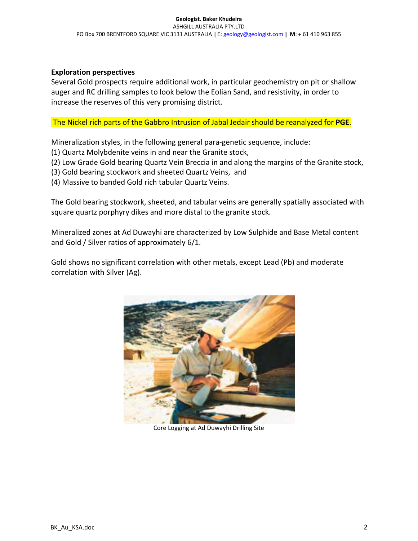## Exploration perspectives

Several Gold prospects require additional work, in particular geochemistry on pit or shallow auger and RC drilling samples to look below the Eolian Sand, and resistivity, in order to increase the reserves of this very promising district.

The Nickel rich parts of the Gabbro Intrusion of Jabal Jedair should be reanalyzed for PGE.

Mineralization styles, in the following general para-genetic sequence, include:

- (1) Quartz Molybdenite veins in and near the Granite stock,
- (2) Low Grade Gold bearing Quartz Vein Breccia in and along the margins of the Granite stock,
- (3) Gold bearing stockwork and sheeted Quartz Veins, and
- (4) Massive to banded Gold rich tabular Quartz Veins.

The Gold bearing stockwork, sheeted, and tabular veins are generally spatially associated with square quartz porphyry dikes and more distal to the granite stock.

Mineralized zones at Ad Duwayhi are characterized by Low Sulphide and Base Metal content and Gold / Silver ratios of approximately 6/1.

Gold shows no significant correlation with other metals, except Lead (Pb) and moderate correlation with Silver (Ag).



Core Logging at Ad Duwayhi Drilling Site